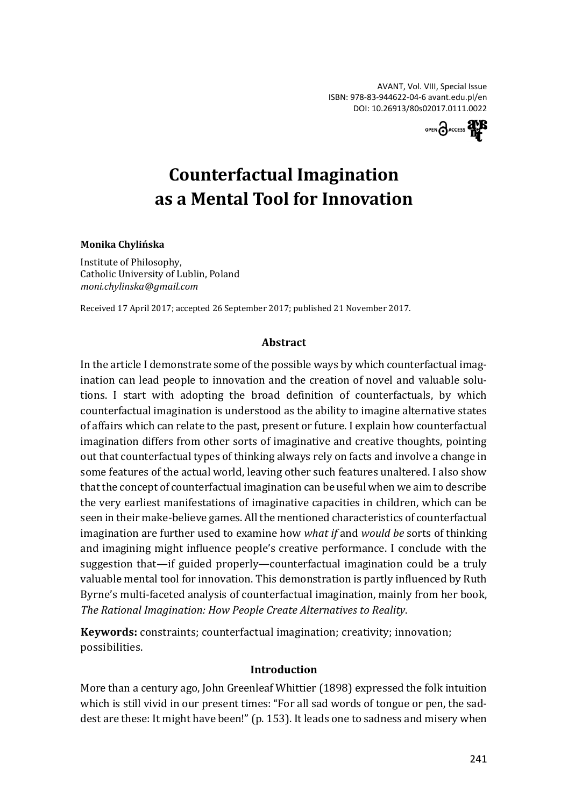

# **Counterfactual Imagination as a Mental Tool for Innovation**

#### **Monika Chylińska**

Institute of Philosophy, Catholic University of Lublin, Poland *moni.chylinska-@-gmail.com*

Received 17 April 2017; accepted 26 September 2017; published 21 November 2017.

#### **Abstract**

In the article I demonstrate some of the possible ways by which counterfactual imagination can lead people to innovation and the creation of novel and valuable solutions. I start with adopting the broad definition of counterfactuals, by which counterfactual imagination is understood as the ability to imagine alternative states of affairs which can relate to the past, present or future. I explain how counterfactual imagination differs from other sorts of imaginative and creative thoughts, pointing out that counterfactual types of thinking always rely on facts and involve a change in some features of the actual world, leaving other such features unaltered. I also show that the concept of counterfactual imagination can be useful when we aim to describe the very earliest manifestations of imaginative capacities in children, which can be seen in their make-believe games. All the mentioned characteristics of counterfactual imagination are further used to examine how *what if* and *would be* sorts of thinking and imagining might influence people's creative performance. I conclude with the suggestion that—if guided properly—counterfactual imagination could be a truly valuable mental tool for innovation. This demonstration is partly influenced by Ruth Byrne's multi-faceted analysis of counterfactual imagination, mainly from her book, *The Rational Imagination: How People Create Alternatives to Reality*.

**Keywords:** constraints; counterfactual imagination; creativity; innovation; possibilities.

#### **Introduction**

More than a century ago, John Greenleaf Whittier (1898) expressed the folk intuition which is still vivid in our present times: "For all sad words of tongue or pen, the saddest are these: It might have been!" (p. 153). It leads one to sadness and misery when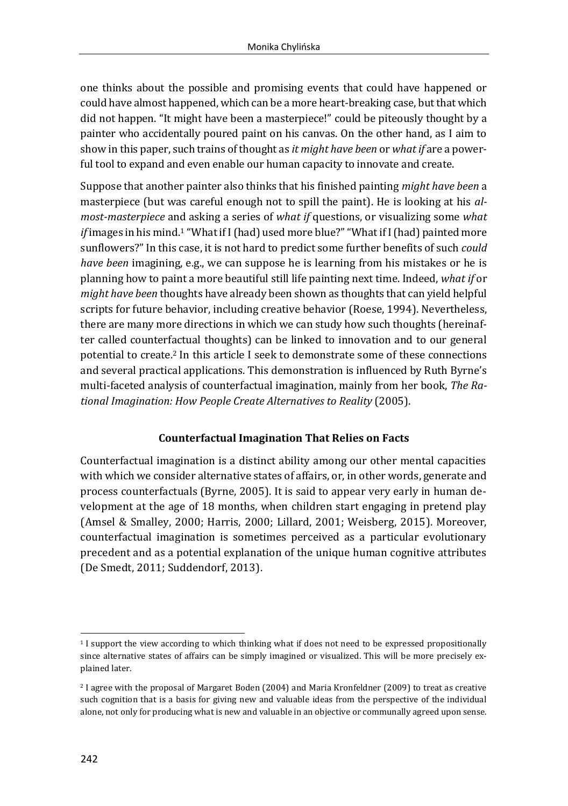one thinks about the possible and promising events that could have happened or could have almost happened, which can be a more heart-breaking case, but that which did not happen. "It might have been a masterpiece!" could be piteously thought by a painter who accidentally poured paint on his canvas. On the other hand, as I aim to show in this paper, such trains of thought as *it might have been* or *what if* are a powerful tool to expand and even enable our human capacity to innovate and create.

Suppose that another painter also thinks that his finished painting *might have been* a masterpiece (but was careful enough not to spill the paint). He is looking at his *almost-masterpiece* and asking a series of *what if* questions, or visualizing some *what if* images in his mind.<sup>1</sup> "What if I (had) used more blue?" "What if I (had) painted more sunflowers?" In this case, it is not hard to predict some further benefits of such *could have been* imagining, e.g., we can suppose he is learning from his mistakes or he is planning how to paint a more beautiful still life painting next time. Indeed, *what if* or *might have been* thoughts have already been shown as thoughts that can yield helpful scripts for future behavior, including creative behavior (Roese, 1994). Nevertheless, there are many more directions in which we can study how such thoughts (hereinafter called counterfactual thoughts) can be linked to innovation and to our general potential to create. <sup>2</sup> In this article I seek to demonstrate some of these connections and several practical applications. This demonstration is influenced by Ruth Byrne's multi-faceted analysis of counterfactual imagination, mainly from her book, *The Rational Imagination: How People Create Alternatives to Reality* (2005).

## **Counterfactual Imagination That Relies on Facts**

Counterfactual imagination is a distinct ability among our other mental capacities with which we consider alternative states of affairs, or, in other words, generate and process counterfactuals (Byrne, 2005). It is said to appear very early in human development at the age of 18 months, when children start engaging in pretend play (Amsel & Smalley, 2000; Harris, 2000; Lillard, 2001; Weisberg, 2015). Moreover, counterfactual imagination is sometimes perceived as a particular evolutionary precedent and as a potential explanation of the unique human cognitive attributes (De Smedt, 2011; Suddendorf, 2013).

 <sup>1</sup> I support the view according to which thinking what if does not need to be expressed propositionally since alternative states of affairs can be simply imagined or visualized. This will be more precisely explained later.

<sup>2</sup> I agree with the proposal of Margaret Boden (2004) and Maria Kronfeldner (2009) to treat as creative such cognition that is a basis for giving new and valuable ideas from the perspective of the individual alone, not only for producing what is new and valuable in an objective or communally agreed upon sense.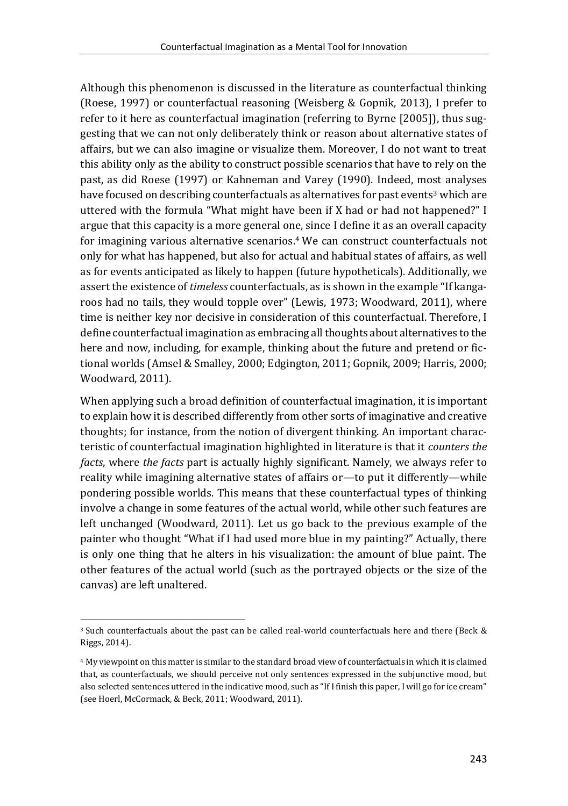Although this phenomenon is discussed in the literature as counterfactual thinking (Roese, 1997) or counterfactual reasoning (Weisberg & Gopnik, 2013), I prefer to refer to it here as counterfactual imagination (referring to Byrne [2005]), thus suggesting that we can not only deliberately think or reason about alternative states of affairs, but we can also imagine or visualize them. Moreover, I do not want to treat this ability only as the ability to construct possible scenarios that have to rely on the past, as did Roese (1997) or Kahneman and Varey (1990). Indeed, most analyses have focused on describing counterfactuals as alternatives for past events<sup>3</sup> which are uttered with the formula "What might have been if X had or had not happened?" I argue that this capacity is a more general one, since I define it as an overall capacity for imagining various alternative scenarios. <sup>4</sup> We can construct counterfactuals not only for what has happened, but also for actual and habitual states of affairs, as well as for events anticipated as likely to happen (future hypotheticals). Additionally, we assert the existence of *timeless* counterfactuals, as is shown in the example "If kangaroos had no tails, they would topple over" (Lewis, 1973; Woodward, 2011), where time is neither key nor decisive in consideration of this counterfactual. Therefore, I define counterfactual imagination as embracing all thoughts about alternatives to the here and now, including, for example, thinking about the future and pretend or fictional worlds (Amsel & Smalley, 2000; Edgington, 2011; Gopnik, 2009; Harris, 2000; Woodward, 2011).

When applying such a broad definition of counterfactual imagination, it is important to explain how it is described differently from other sorts of imaginative and creative thoughts; for instance, from the notion of divergent thinking. An important characteristic of counterfactual imagination highlighted in literature is that it *counters the facts*, where *the facts* part is actually highly significant. Namely, we always refer to reality while imagining alternative states of affairs or—to put it differently—while pondering possible worlds. This means that these counterfactual types of thinking involve a change in some features of the actual world, while other such features are left unchanged (Woodward, 2011). Let us go back to the previous example of the painter who thought "What if I had used more blue in my painting?" Actually, there is only one thing that he alters in his visualization: the amount of blue paint. The other features of the actual world (such as the portrayed objects or the size of the canvas) are left unaltered.

 $\overline{a}$ 

<sup>3</sup> Such counterfactuals about the past can be called real-world counterfactuals here and there (Beck & Riggs, 2014).

<sup>4</sup> My viewpoint on this matter is similar to the standard broad view of counterfactuals in which it is claimed that, as counterfactuals, we should perceive not only sentences expressed in the subjunctive mood, but also selected sentences uttered in the indicative mood, such as "If I finish this paper, I will go for ice cream" (see Hoerl, McCormack, & Beck, 2011; Woodward, 2011).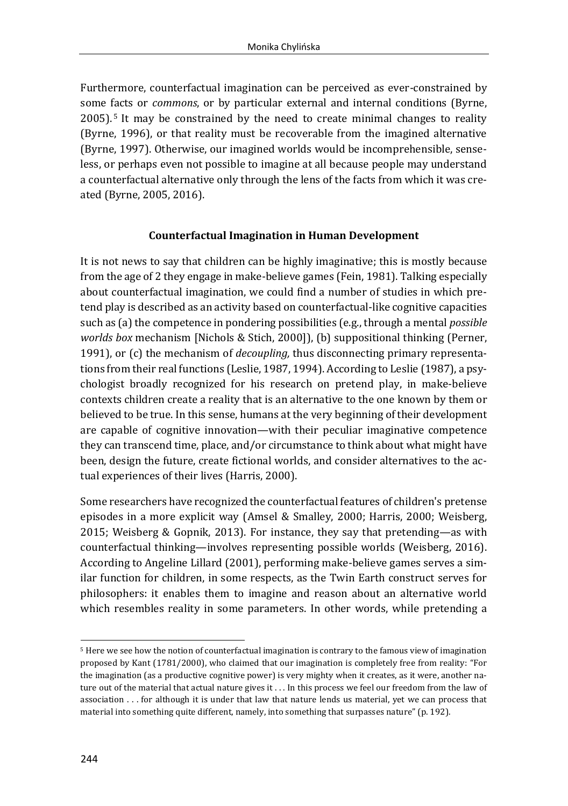Furthermore, counterfactual imagination can be perceived as ever-constrained by some facts or *commons*, or by particular external and internal conditions (Byrne, 2005). <sup>5</sup> It may be constrained by the need to create minimal changes to reality (Byrne, 1996), or that reality must be recoverable from the imagined alternative (Byrne, 1997). Otherwise, our imagined worlds would be incomprehensible, senseless, or perhaps even not possible to imagine at all because people may understand a counterfactual alternative only through the lens of the facts from which it was created (Byrne, 2005, 2016).

#### **Counterfactual Imagination in Human Development**

It is not news to say that children can be highly imaginative; this is mostly because from the age of 2 they engage in make-believe games (Fein, 1981). Talking especially about counterfactual imagination, we could find a number of studies in which pretend play is described as an activity based on counterfactual-like cognitive capacities such as (a) the competence in pondering possibilities (e.g., through a mental *possible worlds box* mechanism [Nichols & Stich, 2000]), (b) suppositional thinking (Perner, 1991), or (c) the mechanism of *decoupling,* thus disconnecting primary representations from their real functions (Leslie, 1987, 1994). According to Leslie (1987), a psychologist broadly recognized for his research on pretend play, in make-believe contexts children create a reality that is an alternative to the one known by them or believed to be true. In this sense, humans at the very beginning of their development are capable of cognitive innovation—with their peculiar imaginative competence they can transcend time, place, and/or circumstance to think about what might have been, design the future, create fictional worlds, and consider alternatives to the actual experiences of their lives (Harris, 2000).

Some researchers have recognized the counterfactual features of children's pretense episodes in a more explicit way (Amsel & Smalley, 2000; Harris, 2000; Weisberg, 2015; Weisberg & Gopnik, 2013). For instance, they say that pretending—as with counterfactual thinking—involves representing possible worlds (Weisberg, 2016). According to Angeline Lillard (2001), performing make-believe games serves a similar function for children, in some respects, as the Twin Earth construct serves for philosophers: it enables them to imagine and reason about an alternative world which resembles reality in some parameters. In other words, while pretending a

<sup>5</sup> Here we see how the notion of counterfactual imagination is contrary to the famous view of imagination proposed by Kant (1781/2000), who claimed that our imagination is completely free from reality: "For the imagination (as a productive cognitive power) is very mighty when it creates, as it were, another nature out of the material that actual nature gives it . . . In this process we feel our freedom from the law of association . . . for although it is under that law that nature lends us material, yet we can process that material into something quite different, namely, into something that surpasses nature" (p. 192).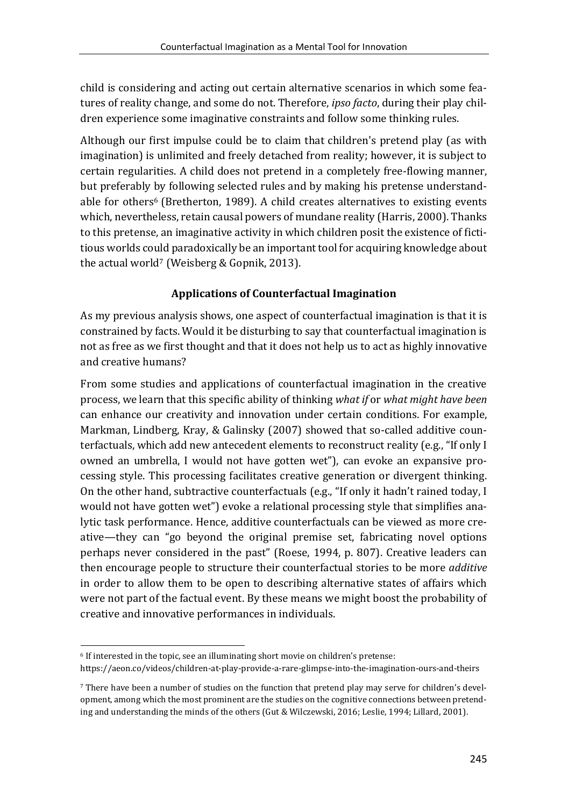child is considering and acting out certain alternative scenarios in which some features of reality change, and some do not. Therefore, *ipso facto*, during their play children experience some imaginative constraints and follow some thinking rules.

Although our first impulse could be to claim that children's pretend play (as with imagination) is unlimited and freely detached from reality; however, it is subject to certain regularities. A child does not pretend in a completely free-flowing manner, but preferably by following selected rules and by making his pretense understandable for others<sup>6</sup> (Bretherton, 1989). A child creates alternatives to existing events which, nevertheless, retain causal powers of mundane reality (Harris, 2000). Thanks to this pretense, an imaginative activity in which children posit the existence of fictitious worlds could paradoxically be an important tool for acquiring knowledge about the actual world<sup>7</sup> (Weisberg & Gopnik, 2013).

## **Applications of Counterfactual Imagination**

As my previous analysis shows, one aspect of counterfactual imagination is that it is constrained by facts. Would it be disturbing to say that counterfactual imagination is not as free as we first thought and that it does not help us to act as highly innovative and creative humans?

From some studies and applications of counterfactual imagination in the creative process, we learn that this specific ability of thinking *what if* or *what might have been* can enhance our creativity and innovation under certain conditions. For example, Markman, Lindberg, Kray, & Galinsky (2007) showed that so-called additive counterfactuals, which add new antecedent elements to reconstruct reality (e.g., "If only I owned an umbrella, I would not have gotten wet"), can evoke an expansive processing style. This processing facilitates creative generation or divergent thinking. On the other hand, subtractive counterfactuals (e.g., "If only it hadn't rained today, I would not have gotten wet") evoke a relational processing style that simplifies analytic task performance. Hence, additive counterfactuals can be viewed as more creative—they can "go beyond the original premise set, fabricating novel options perhaps never considered in the past" (Roese, 1994, p. 807). Creative leaders can then encourage people to structure their counterfactual stories to be more *additive* in order to allow them to be open to describing alternative states of affairs which were not part of the factual event. By these means we might boost the probability of creative and innovative performances in individuals.

 $\overline{a}$ <sup>6</sup> If interested in the topic, see an illuminating short movie on children's pretense:

<https://aeon.co/videos/children-at-play-provide-a-rare-glimpse-into-the-imagination-ours-and-theirs>

<sup>7</sup> There have been a number of studies on the function that pretend play may serve for children's development, among which the most prominent are the studies on the cognitive connections between pretending and understanding the minds of the others (Gut & Wilczewski, 2016; Leslie, 1994; Lillard, 2001).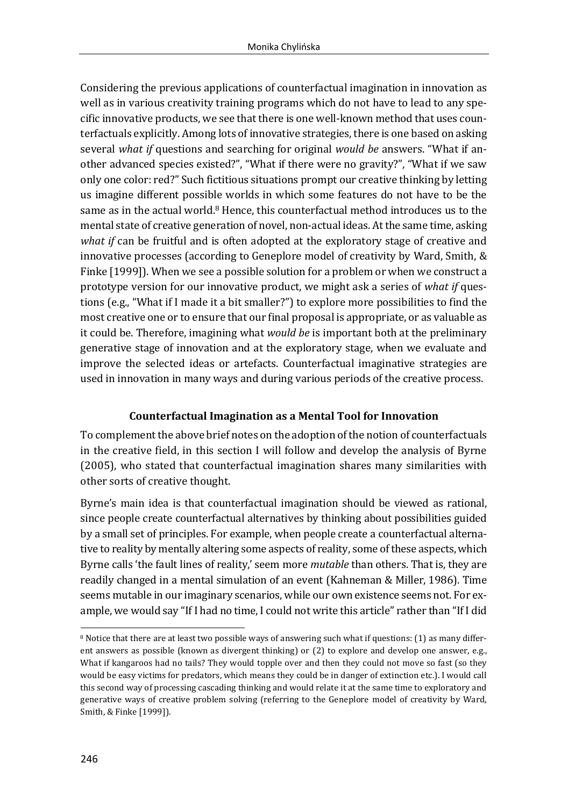Considering the previous applications of counterfactual imagination in innovation as well as in various creativity training programs which do not have to lead to any specific innovative products, we see that there is one well-known method that uses counterfactuals explicitly. Among lots of innovative strategies, there is one based on asking several *what if* questions and searching for original *would be* answers. "What if another advanced species existed?", "What if there were no gravity?", "What if we saw only one color: red?" Such fictitious situations prompt our creative thinking by letting us imagine different possible worlds in which some features do not have to be the same as in the actual world. <sup>8</sup> Hence, this counterfactual method introduces us to the mental state of creative generation of novel, non-actual ideas. At the same time, asking *what if* can be fruitful and is often adopted at the exploratory stage of creative and innovative processes (according to Geneplore model of creativity by Ward, Smith, & Finke [1999]). When we see a possible solution for a problem or when we construct a prototype version for our innovative product, we might ask a series of *what if* questions (e.g., "What if I made it a bit smaller?") to explore more possibilities to find the most creative one or to ensure that our final proposal is appropriate, or as valuable as it could be. Therefore, imagining what *would be* is important both at the preliminary generative stage of innovation and at the exploratory stage, when we evaluate and improve the selected ideas or artefacts. Counterfactual imaginative strategies are used in innovation in many ways and during various periods of the creative process.

## **Counterfactual Imagination as a Mental Tool for Innovation**

To complement the above brief notes on the adoption of the notion of counterfactuals in the creative field, in this section I will follow and develop the analysis of Byrne (2005), who stated that counterfactual imagination shares many similarities with other sorts of creative thought.

Byrne's main idea is that counterfactual imagination should be viewed as rational, since people create counterfactual alternatives by thinking about possibilities guided by a small set of principles. For example, when people create a counterfactual alternative to reality by mentally altering some aspects of reality, some of these aspects, which Byrne calls 'the fault lines of reality,' seem more *mutable* than others. That is, they are readily changed in a mental simulation of an event (Kahneman & Miller, 1986). Time seems mutable in our imaginary scenarios, while our own existence seems not. For example, we would say "If I had no time, I could not write this article" rather than "If I did

 $\overline{a}$ 

<sup>&</sup>lt;sup>8</sup> Notice that there are at least two possible ways of answering such what if questions: (1) as many different answers as possible (known as divergent thinking) or (2) to explore and develop one answer, e.g., What if kangaroos had no tails? They would topple over and then they could not move so fast (so they would be easy victims for predators, which means they could be in danger of extinction etc.). I would call this second way of processing cascading thinking and would relate it at the same time to exploratory and generative ways of creative problem solving (referring to the Geneplore model of creativity by Ward, Smith, & Finke [1999]).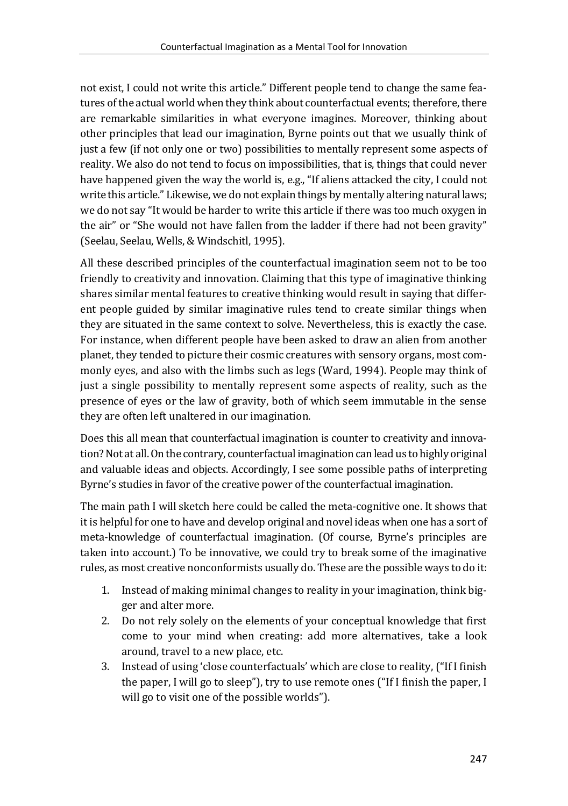not exist, I could not write this article." Different people tend to change the same features of the actual world when they think about counterfactual events; therefore, there are remarkable similarities in what everyone imagines. Moreover, thinking about other principles that lead our imagination, Byrne points out that we usually think of just a few (if not only one or two) possibilities to mentally represent some aspects of reality. We also do not tend to focus on impossibilities, that is, things that could never have happened given the way the world is, e.g., "If aliens attacked the city, I could not write this article." Likewise, we do not explain things by mentally altering natural laws; we do not say "It would be harder to write this article if there was too much oxygen in the air" or "She would not have fallen from the ladder if there had not been gravity" (Seelau, Seelau, Wells, & Windschitl, 1995).

All these described principles of the counterfactual imagination seem not to be too friendly to creativity and innovation. Claiming that this type of imaginative thinking shares similar mental features to creative thinking would result in saying that different people guided by similar imaginative rules tend to create similar things when they are situated in the same context to solve. Nevertheless, this is exactly the case. For instance, when different people have been asked to draw an alien from another planet, they tended to picture their cosmic creatures with sensory organs, most commonly eyes, and also with the limbs such as legs (Ward, 1994). People may think of just a single possibility to mentally represent some aspects of reality, such as the presence of eyes or the law of gravity, both of which seem immutable in the sense they are often left unaltered in our imagination.

Does this all mean that counterfactual imagination is counter to creativity and innovation? Not at all. On the contrary, counterfactual imagination can lead us to highly original and valuable ideas and objects. Accordingly, I see some possible paths of interpreting Byrne's studies in favor of the creative power of the counterfactual imagination.

The main path I will sketch here could be called the meta-cognitive one. It shows that it is helpful for one to have and develop original and novel ideas when one has a sort of meta-knowledge of counterfactual imagination. (Of course, Byrne's principles are taken into account.) To be innovative, we could try to break some of the imaginative rules, as most creative nonconformists usually do. These are the possible ways to do it:

- 1. Instead of making minimal changes to reality in your imagination, think bigger and alter more.
- 2. Do not rely solely on the elements of your conceptual knowledge that first come to your mind when creating: add more alternatives, take a look around, travel to a new place, etc.
- 3. Instead of using 'close counterfactuals' which are close to reality, ("If I finish the paper, I will go to sleep"), try to use remote ones ("If I finish the paper, I will go to visit one of the possible worlds").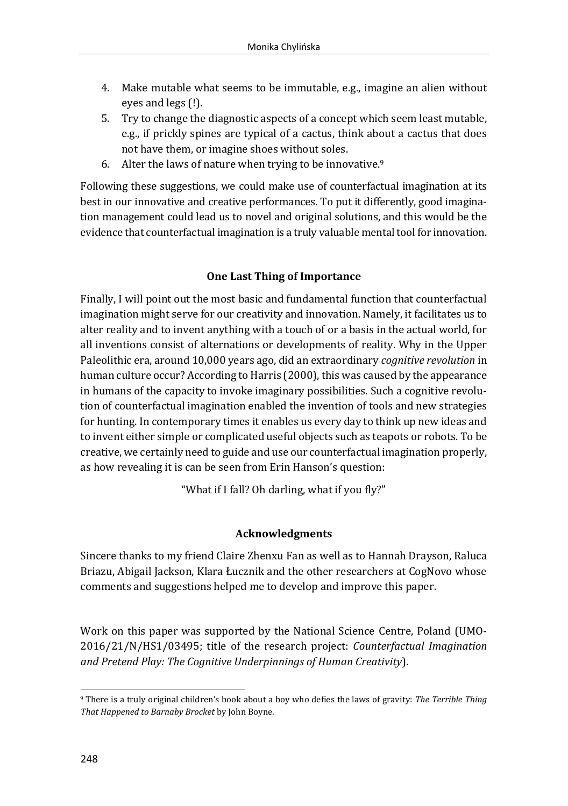- 4. Make mutable what seems to be immutable, e.g., imagine an alien without eyes and legs (!).
- 5. Try to change the diagnostic aspects of a concept which seem least mutable, e.g., if prickly spines are typical of a cactus, think about a cactus that does not have them, or imagine shoes without soles.
- 6. Alter the laws of nature when trying to be innovative. 9

Following these suggestions, we could make use of counterfactual imagination at its best in our innovative and creative performances. To put it differently, good imagination management could lead us to novel and original solutions, and this would be the evidence that counterfactual imagination is a truly valuable mental tool for innovation.

## **One Last Thing of Importance**

Finally, I will point out the most basic and fundamental function that counterfactual imagination might serve for our creativity and innovation. Namely, it facilitates us to alter reality and to invent anything with a touch of or a basis in the actual world, for all inventions consist of alternations or developments of reality. Why in the Upper Paleolithic era, around 10,000 years ago, did an extraordinary *cognitive revolution* in human culture occur? According to Harris (2000), this was caused by the appearance in humans of the capacity to invoke imaginary possibilities. Such a cognitive revolution of counterfactual imagination enabled the invention of tools and new strategies for hunting. In contemporary times it enables us every day to think up new ideas and to invent either simple or complicated useful objects such as teapots or robots. To be creative, we certainly need to guide and use our counterfactual imagination properly, as how revealing it is can be seen from Erin Hanson's question:

"What if I fall? Oh darling, what if you fly?"

## **Acknowledgments**

Sincere thanks to my friend Claire Zhenxu Fan as well as to Hannah Drayson, Raluca Briazu, Abigail Jackson, Klara Łucznik and the other researchers at CogNovo whose comments and suggestions helped me to develop and improve this paper.

Work on this paper was supported by the National Science Centre, Poland (UMO-2016/21/N/HS1/03495; title of the research project: *Counterfactual Imagination and Pretend Play: The Cognitive Underpinnings of Human Creativity*).

 $\overline{a}$ 

<sup>9</sup> There is a truly original children's book about a boy who defies the laws of gravity: *The Terrible Thing That Happened to Barnaby Brocket* by John Boyne.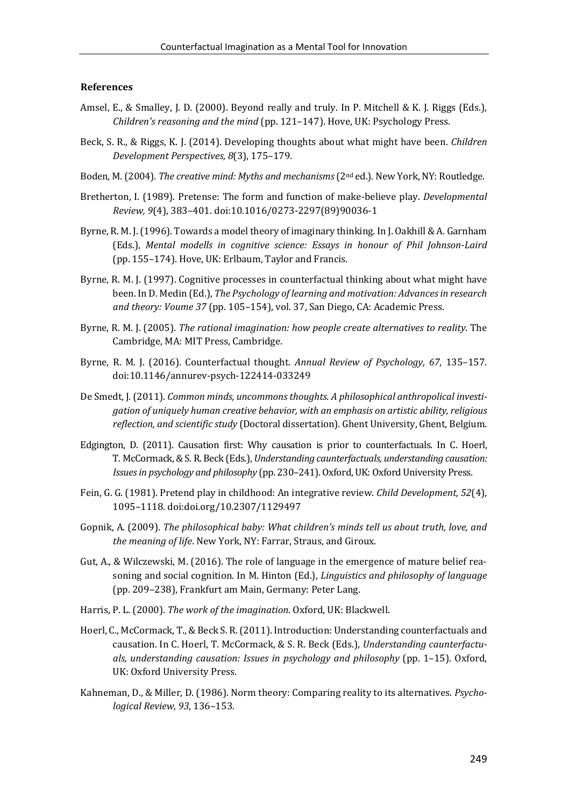#### **References**

- Amsel, E., & Smalley, J. D. (2000). Beyond really and truly. In P. Mitchell & K. J. Riggs (Eds.), *Children's reasoning and the mind* (pp. 121–147). Hove, UK: Psychology Press.
- Beck, S. R., & Riggs, K. J. (2014). Developing thoughts about what might have been. *Children Development Perspectives, 8*(3), 175–179.
- Boden, M. (2004). *The creative mind: Myths and mechanisms* (2nd ed.). New York, NY: Routledge.
- Bretherton, I. (1989). Pretense: The form and function of make-believe play. *Developmental Review, 9*(4), 383–401. doi[:10.1016/0273-2297\(89\)90036-1](https://doi.org/10.1016/0273-2297(89)90036-1)
- Byrne, R. M. J. (1996). Towards a model theory of imaginary thinking. In J. Oakhill & A. Garnham (Eds.), *Mental modells in cognitive science: Essays in honour of Phil Johnson-Laird* (pp. 155–174). Hove, UK: Erlbaum, Taylor and Francis.
- Byrne, R. M. J. (1997). Cognitive processes in counterfactual thinking about what might have been. In D. Medin (Ed.), *The Psychology of learning and motivation: Advances in research and theory: Voume 37* (pp. 105–154), vol. 37, San Diego, CA: Academic Press.
- Byrne, R. M. J. (2005). *The rational imagination: how people create alternatives to reality*. The Cambridge, MA: MIT Press, Cambridge.
- Byrne, R. M. J. (2016). Counterfactual thought. *Annual Review of Psychology, 67*, 135–157. doi[:10.1146/annurev-psych-122414-033249](http://doi.org/10.1146/annurev-psych-122414-033249)
- De Smedt, J. (2011). *Common minds, uncommons thoughts. A philosophical anthropolical investigation of uniquely human creative behavior, with an emphasis on artistic ability, religious reflection, and scientific study* (Doctoral dissertation). Ghent University, Ghent, Belgium.
- Edgington, D. (2011). Causation first: Why causation is prior to counterfactuals. In C. Hoerl, T. McCormack, & S. R. Beck (Eds.), *Understanding caunterfactuals, understanding causation: Issues in psychology and philosophy* (pp. 230–241). Oxford, UK: Oxford University Press.
- Fein, G. G. (1981). Pretend play in childhood: An integrative review. *Child Development, 52*(4), 1095–1118. doi[:doi.org/10.2307/1129497](http://doi.org/10.2307/1129497)
- Gopnik, A. (2009). *The philosophical baby: What children's minds tell us about truth, love, and the meaning of life*. New York, NY: Farrar, Straus, and Giroux.
- Gut, A., & Wilczewski, M. (2016). The role of language in the emergence of mature belief reasoning and social cognition. In M. Hinton (Ed.), *Linguistics and philosophy of language*  (pp. 209–238), Frankfurt am Main, Germany: Peter Lang.
- Harris, P. L. (2000). *The work of the imagination*. Oxford, UK: Blackwell.
- Hoerl, C., McCormack, T., & Beck S. R.(2011). Introduction: Understanding counterfactuals and causation. In C. Hoerl, T. McCormack, & S. R. Beck (Eds.), *Understanding caunterfactuals, understanding causation: Issues in psychology and philosophy* (pp. 1–15). Oxford, UK: Oxford University Press.
- Kahneman, D., & Miller, D. (1986). Norm theory: Comparing reality to its alternatives. *Psychological Review, 93*, 136–153.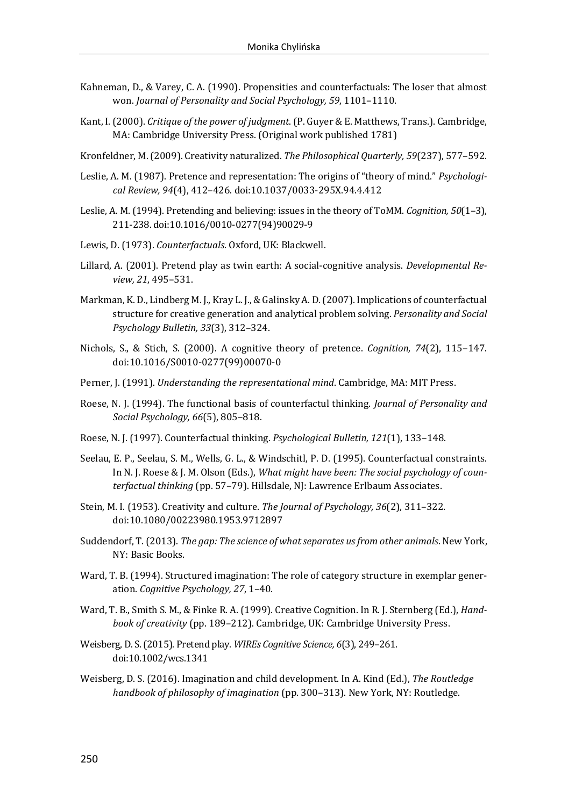- Kahneman, D., & Varey, C. A. (1990). Propensities and counterfactuals: The loser that almost won. *Journal of Personality and Social Psychology, 59*, 1101–1110.
- Kant, I. (2000). *Critique of the power of judgment*. (P. Guyer & E. Matthews, Trans.). Cambridge, MA: Cambridge University Press. (Original work published 1781)
- Kronfeldner, M. (2009). Creativity naturalized. *The Philosophical Quarterly, 59*(237), 577–592.
- Leslie, A. M. (1987). Pretence and representation: The origins of "theory of mind." *Psychological Review, 94*(4), 412–426. do[i:10.1037/0033-295X.94.4.412](http://doi.org/10.1037/0033-295X.94.4.412)
- Leslie, A. M. (1994). Pretending and believing: issues in the theory of ToMM. *Cognition, 50*(1–3), 211-238. do[i:10.1016/0010-0277\(94\)90029-9](http://doi.org/10.1016/0010-0277(94)90029-9)
- Lewis, D. (1973). *Counterfactuals*. Oxford, UK: Blackwell.
- Lillard, A. (2001). Pretend play as twin earth: A social-cognitive analysis. *Developmental Review, 21*, 495–531.
- Markman, K. D., Lindberg M. J., Kray L. J., & Galinsky A. D.(2007). Implications of counterfactual structure for creative generation and analytical problem solving. *Personality and Social Psychology Bulletin, 33*(3), 312–324.
- Nichols, S., & Stich, S. (2000). A cognitive theory of pretence. *Cognition, 74*(2), 115–147. doi[:10.1016/S0010-0277\(99\)00070-0](https://doi.org/10.1016/S0010-0277(99)00070-0)
- Perner, J. (1991). *Understanding the representational mind*. Cambridge, MA: MIT Press.
- Roese, N. J. (1994). The functional basis of counterfactul thinking. *Journal of Personality and Social Psychology, 66*(5), 805–818.
- Roese, N. J. (1997). Counterfactual thinking. *Psychological Bulletin, 121*(1), 133–148.
- Seelau, E. P., Seelau, S. M., Wells, G. L., & Windschitl, P. D. (1995). Counterfactual constraints. In N. J. Roese & J. M. Olson (Eds.), *What might have been: The social psychology of counterfactual thinking* (pp. 57–79). Hillsdale, NJ: Lawrence Erlbaum Associates.
- Stein, M. I. (1953). Creativity and culture. *The Journal of Psychology, 36*(2), 311–322. doi[:10.1080/00223980.1953.9712897](http://doi.org/10.1080/00223980.1953.9712897)
- Suddendorf, T. (2013). *The gap: The science of what separates us from other animals*. New York, NY: Basic Books.
- Ward, T. B. (1994). Structured imagination: The role of category structure in exemplar generation. *Cognitive Psychology, 27*, 1–40.
- Ward, T. B., Smith S. M., & Finke R. A. (1999). Creative Cognition. In R. J. Sternberg (Ed.), *Handbook of creativity* (pp. 189–212). Cambridge, UK: Cambridge University Press.
- Weisberg, D. S. (2015). Pretend play. *WIREs Cognitive Science, 6*(3), 249–261. do[i:10.1002/wcs.1341](http://doi.org/10.1002/wcs.1341)
- Weisberg, D. S. (2016). Imagination and child development. In A. Kind (Ed.), *The Routledge handbook of philosophy of imagination* (pp. 300–313). New York, NY: Routledge.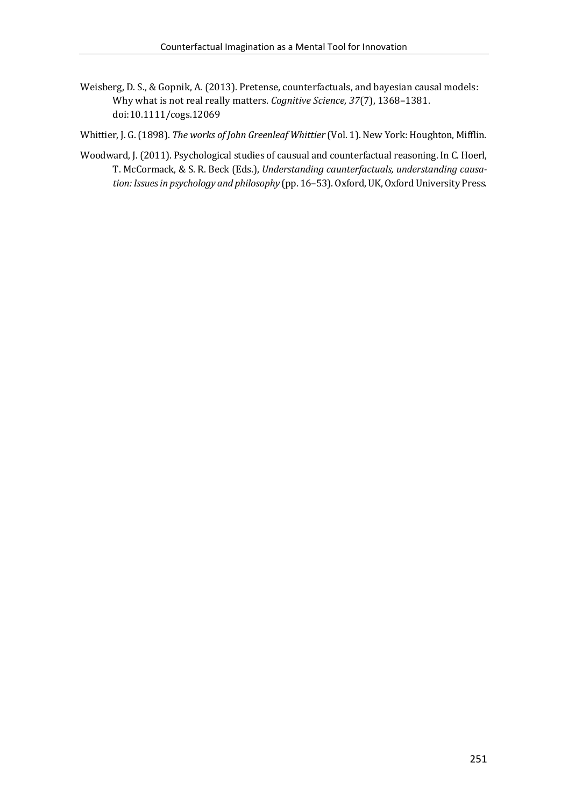Weisberg, D. S., & Gopnik, A. (2013). Pretense, counterfactuals, and bayesian causal models: Why what is not real really matters. *Cognitive Science, 37*(7), 1368–1381. doi[:10.1111/cogs.12069](http://doi.org/10.1111/cogs.12069)

Whittier, J. G. (1898). *The works of John Greenleaf Whittier* (Vol. 1). New York: Houghton, Mifflin.

Woodward, J. (2011). Psychological studies of causual and counterfactual reasoning. In C. Hoerl, T. McCormack, & S. R. Beck (Eds.), *Understanding caunterfactuals, understanding causation: Issues in psychology and philosophy* (pp. 16–53). Oxford, UK,Oxford University Press.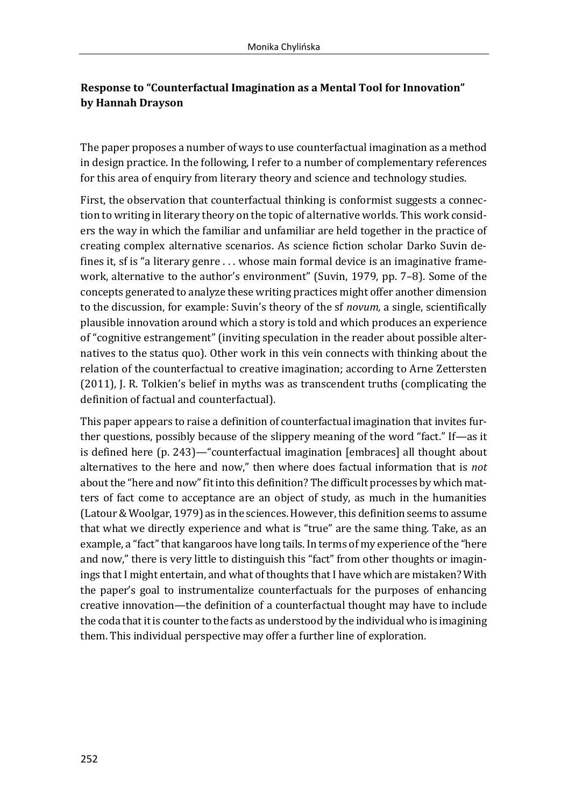## **Response to "Counterfactual Imagination as a Mental Tool for Innovation" by Hannah Drayson**

The paper proposes a number of ways to use counterfactual imagination as a method in design practice. In the following, I refer to a number of complementary references for this area of enquiry from literary theory and science and technology studies.

First, the observation that counterfactual thinking is conformist suggests a connection to writing in literary theory on the topic of alternative worlds. This work considers the way in which the familiar and unfamiliar are held together in the practice of creating complex alternative scenarios. As science fiction scholar Darko Suvin defines it, sf is "a literary genre . . . whose main formal device is an imaginative framework, alternative to the author's environment" (Suvin, 1979, pp. 7–8). Some of the concepts generated to analyze these writing practices might offer another dimension to the discussion, for example: Suvin's theory of the sf *novum,* a single, scientifically plausible innovation around which a story is told and which produces an experience of "cognitive estrangement" (inviting speculation in the reader about possible alternatives to the status quo). Other work in this vein connects with thinking about the relation of the counterfactual to creative imagination; according to Arne Zettersten (2011), J. R. Tolkien's belief in myths was as transcendent truths (complicating the definition of factual and counterfactual).

This paper appears to raise a definition of counterfactual imagination that invites further questions, possibly because of the slippery meaning of the word "fact." If—as it is defined here (p. 243)—"counterfactual imagination [embraces] all thought about alternatives to the here and now," then where does factual information that is *not* about the "here and now" fit into this definition? The difficult processes by which matters of fact come to acceptance are an object of study, as much in the humanities (Latour & Woolgar, 1979) as in the sciences. However, this definition seems to assume that what we directly experience and what is "true" are the same thing. Take, as an example, a "fact" that kangaroos have long tails. In terms of my experience of the "here and now," there is very little to distinguish this "fact" from other thoughts or imaginings that I might entertain, and what of thoughts that I have which are mistaken? With the paper's goal to instrumentalize counterfactuals for the purposes of enhancing creative innovation—the definition of a counterfactual thought may have to include the coda that it is counter to the facts as understood by the individual who is imagining them. This individual perspective may offer a further line of exploration.